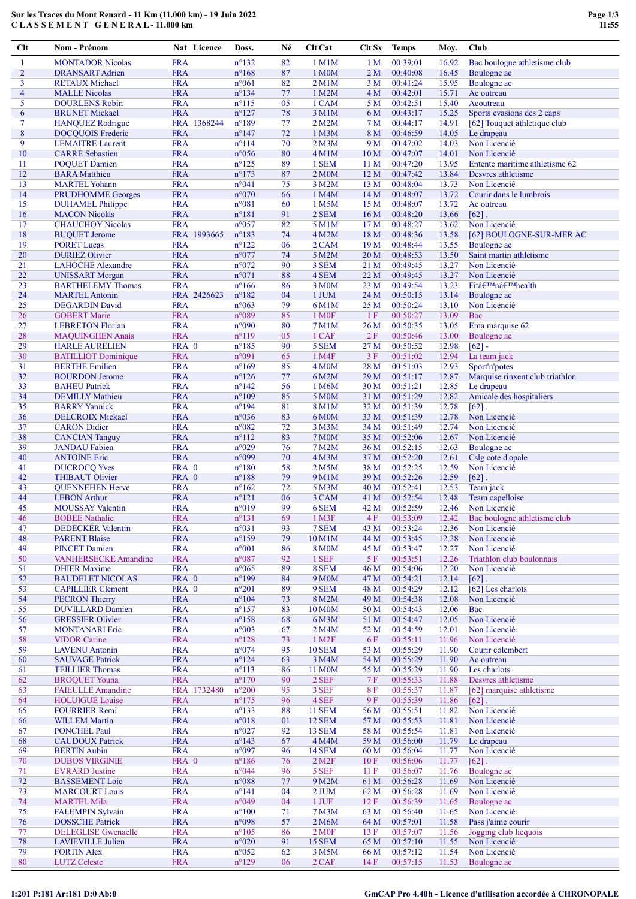### Sur les Traces du Mont Renard - 11 Km (11.000 km) - 19 Juin 2022 C L A S S E M E N T G E N E R A L - 11.000 km

| Clt            | Nom - Prénom                | Nat Licence | Doss.           | Né | <b>Clt Cat</b>         | Clt Sx          | <b>Temps</b> | Moy.  | Club                            |
|----------------|-----------------------------|-------------|-----------------|----|------------------------|-----------------|--------------|-------|---------------------------------|
| 1              | <b>MONTADOR Nicolas</b>     | <b>FRA</b>  | $n^{\circ}132$  | 82 | $1$ M $1$ M            | 1 <sub>M</sub>  | 00:39:01     | 16.92 | Bac boulogne athletisme club    |
| $\overline{2}$ | <b>DRANSART</b> Adrien      | <b>FRA</b>  | $n^{\circ}168$  | 87 | 1 M <sub>0</sub> M     | 2 <sub>M</sub>  | 00:40:08     | 16.45 | Boulogne ac                     |
| 3              | <b>RETAUX Michael</b>       | <b>FRA</b>  | $n^{\circ}061$  | 82 | $2$ M $1$ M            | 3 M             | 00:41:24     | 15.95 | Boulogne ac                     |
| $\overline{4}$ | <b>MALLE Nicolas</b>        | <b>FRA</b>  | $n^{\circ}$ 134 | 77 | 1 M2M                  | 4 M             | 00:42:01     | 15.71 | Ac outreau                      |
| 5              | <b>DOURLENS Robin</b>       | <b>FRA</b>  | $n^{\circ}115$  | 05 | 1 CAM                  | 5 M             | 00:42:51     | 15.40 | Acoutreau                       |
| 6              | <b>BRUNET Mickael</b>       | <b>FRA</b>  | $n^{\circ}127$  | 78 | 3 M1M                  | 6 M             | 00:43:17     | 15.25 | Sports evasions des 2 caps      |
| 7              | <b>HANQUEZ</b> Rodrigue     | FRA 1368244 | $n^{\circ}189$  | 77 | 2 M2M                  | 7 M             | 00:44:17     | 14.91 | [62] Touquet athletique club    |
| 8              | <b>DOCQUOIS</b> Frederic    | <b>FRA</b>  | $n^{\circ}147$  | 72 | 1 M <sub>3</sub> M     | 8 M             | 00:46:59     | 14.05 | Le drapeau                      |
| 9              | <b>LEMAITRE Laurent</b>     | <b>FRA</b>  | $n^{\circ}114$  | 70 | $2$ M $3M$             | 9 M             | 00:47:02     | 14.03 | Non Licencié                    |
| 10             | <b>CARRE</b> Sebastien      | <b>FRA</b>  | $n^{\circ}056$  | 80 | $4$ M $1$ M            | 10 <sub>M</sub> | 00:47:07     | 14.01 | Non Licencié                    |
| 11             | <b>POQUET Damien</b>        | <b>FRA</b>  | $n^{\circ}125$  | 89 | 1 SEM                  | 11 <sub>M</sub> | 00:47:20     | 13.95 | Entente maritime athletisme 62  |
| 12             | <b>BARA</b> Matthieu        | <b>FRA</b>  | $n^{\circ}173$  | 87 | 2 M0M                  | 12 <sub>M</sub> | 00:47:42     | 13.84 | Desvres athletisme              |
| 13             | <b>MARTEL Yohann</b>        | <b>FRA</b>  | n°041           | 75 | 3 M2M                  | 13 <sub>M</sub> | 00:48:04     | 13.73 | Non Licencié                    |
| 14             | <b>PRUDHOMME</b> Georges    | <b>FRA</b>  | $n^{\circ}070$  | 66 | 1 M4M                  | 14M             | 00:48:07     | 13.72 | Courir dans le lumbrois         |
| 15             | <b>DUHAMEL Philippe</b>     | <b>FRA</b>  | n°081           | 60 | 1 M5M                  | 15 M            | 00:48:07     | 13.72 | Ac outreau                      |
| 16             | <b>MACON Nicolas</b>        | <b>FRA</b>  | $n^{\circ}181$  | 91 | 2 SEM                  | 16 <sub>M</sub> | 00:48:20     | 13.66 | $[62]$ .                        |
| 17             | <b>CHAUCHOY Nicolas</b>     | <b>FRA</b>  | $n^{\circ}057$  | 82 | 5 M1M                  | 17 <sub>M</sub> | 00:48:27     | 13.62 | Non Licencié                    |
| 18             | <b>BUQUET Jerome</b>        | FRA 1993665 | $n^{\circ}183$  | 74 | 4 M2M                  | 18 M            | 00:48:36     | 13.58 | [62] BOULOGNE-SUR-MER AC        |
| 19             | <b>PORET Lucas</b>          | <b>FRA</b>  | $n^{\circ}122$  | 06 | 2 CAM                  | 19 <sub>M</sub> | 00:48:44     | 13.55 | Boulogne ac                     |
| 20             | <b>DURIEZ Olivier</b>       | <b>FRA</b>  | n°077           | 74 | 5 M2M                  | 20 <sub>M</sub> | 00:48:53     | 13.50 | Saint martin athletisme         |
| 21             | <b>LAHOCHE</b> Alexandre    | <b>FRA</b>  | $n^{\circ}072$  | 90 | 3 SEM                  | 21 M            | 00:49:45     | 13.27 | Non Licencié                    |
| 22             | <b>UNISSART</b> Morgan      | <b>FRA</b>  | n°071           | 88 | 4 SEM                  | 22 M            | 00:49:45     | 13.27 | Non Licencié                    |
| 23             | <b>BARTHELEMY Thomas</b>    | <b>FRA</b>  | $n^{\circ}166$  | 86 | 3 M <sub>0</sub> M     | 23 M            | 00:49:54     | 13.23 | Fit'n'health                    |
| 24             | <b>MARTEL Antonin</b>       | FRA 2426623 | $n^{\circ}182$  | 04 | 1 JUM                  | 24 M            | 00:50:15     | 13.14 | Boulogne ac                     |
| 25             | <b>DEGARDIN David</b>       | <b>FRA</b>  | n°063           | 79 | 6 M1M                  | 25 M            | 00:50:24     | 13.10 | Non Licencié                    |
| 26             | <b>GOBERT Marie</b>         | <b>FRA</b>  | $n^{\circ}089$  | 85 | 1 M <sub>OF</sub>      | 1F              | 00:50:27     | 13.09 | Bac                             |
| 27             | <b>LEBRETON Florian</b>     | <b>FRA</b>  | $n^{\circ}090$  | 80 | 7 M1M                  | 26 <sub>M</sub> | 00:50:35     | 13.05 | Ema marquise 62                 |
| 28             | <b>MAQUINGHEN Anais</b>     | <b>FRA</b>  | $n^{\circ}119$  | 05 | 1 CAF                  | 2F              | 00:50:46     | 13.00 | Boulogne ac                     |
| 29             | <b>HARLE AURELIEN</b>       | FRA 0       | $n^{\circ}185$  | 90 | 5 SEM                  | 27 M            | 00:50:52     | 12.98 | $[62] -$                        |
| 30             | <b>BATILLIOT</b> Dominique  | <b>FRA</b>  | n°091           | 65 | 1 M4F                  | 3F              | 00:51:02     | 12.94 | La team jack                    |
| 31             | <b>BERTHE Emilien</b>       | <b>FRA</b>  | $n^{\circ}169$  | 85 | 4 M <sub>0</sub> M     | 28 M            | 00:51:03     | 12.93 | Sport'n'potes                   |
| 32             | <b>BOURDON Jerome</b>       | <b>FRA</b>  | $n^{\circ}126$  | 77 | 6 M2M                  | 29 M            | 00:51:17     | 12.87 | Marquise rinxent club triathlon |
| 33             | <b>BAHEU Patrick</b>        | <b>FRA</b>  | $n^{\circ}142$  | 56 | 1 M6M                  | 30 M            | 00:51:21     | 12.85 | Le drapeau                      |
| 34             | <b>DEMILLY Mathieu</b>      | <b>FRA</b>  | $n^{\circ}109$  | 85 | 5 M <sub>0</sub> M     | 31 M            | 00:51:29     | 12.82 | Amicale des hospitaliers        |
| 35             | <b>BARRY</b> Yannick        | <b>FRA</b>  | $n^{\circ}194$  | 81 | 8 M1M                  | 32 M            | 00:51:39     | 12.78 | $[62]$ .                        |
| 36             | <b>DELCROIX Mickael</b>     | <b>FRA</b>  | $n^{\circ}036$  | 83 | 6 M <sub>0</sub> M     | 33 M            | 00:51:39     | 12.78 | Non Licencié                    |
| 37             | <b>CARON</b> Didier         | <b>FRA</b>  | $n^{\circ}082$  | 72 | 3 M3M                  | 34 M            | 00:51:49     | 12.74 | Non Licencié                    |
| 38             | <b>CANCIAN Tanguy</b>       | <b>FRA</b>  | $n^{\circ}112$  | 83 | 7 M0M                  | 35 M            | 00:52:06     | 12.67 | Non Licencié                    |
| 39             | <b>JANDAU</b> Fabien        | <b>FRA</b>  | $n^{\circ}029$  | 76 | 7 M2M                  | 36 M            | 00:52:15     | 12.63 | Boulogne ac                     |
| 40             | <b>ANTOINE Eric</b>         | <b>FRA</b>  | n°099           | 70 | 4 M3M                  | 37 M            | 00:52:20     | 12.61 | Cslg cote d'opale               |
| 41             | <b>DUCROCQ</b> Yves         | FRA 0       | $n^{\circ}180$  | 58 | 2 M5M                  | 38 M            | 00:52:25     | 12.59 | Non Licencié                    |
| 42             | <b>THIBAUT Olivier</b>      | FRA 0       | $n^{\circ}188$  | 79 | 9 M1M                  | 39 M            | 00:52:26     | 12.59 | $[62]$ .                        |
| 43             | <b>QUENNEHEN Herve</b>      | <b>FRA</b>  | $n^{\circ}162$  | 72 | 5 M3M                  | 40 M            | 00:52:41     | 12.53 | Team jack                       |
| 44             | <b>LEBON</b> Arthur         | <b>FRA</b>  | $n^{\circ}121$  | 06 | 3 CAM                  | 41 M            | 00:52:54     | 12.48 | Team capelloise                 |
| 45             | <b>MOUSSAY Valentin</b>     | <b>FRA</b>  | $n^{\circ}019$  | 99 | 6 SEM                  | 42 M            | 00:52:59     | 12.46 | Non Licencié                    |
| 46             | <b>BOBEE Nathalie</b>       | <b>FRA</b>  | $n^{\circ}131$  | 69 | 1 M3F                  | 4F              | 00:53:09     | 12.42 | Bac boulogne athletisme club    |
| 47             | <b>DEDECKER</b> Valentin    | <b>FRA</b>  | n°031           | 93 | 7 SEM                  | 43 M            | 00:53:24     | 12.36 | Non Licencié                    |
| 48             | <b>PARENT Blaise</b>        | <b>FRA</b>  | $n^{\circ}159$  | 79 | 10 M1M                 | 44 M            | 00:53:45     | 12.28 | Non Licencié                    |
| 49             | <b>PINCET Damien</b>        | <b>FRA</b>  | $n^{\circ}001$  | 86 | <b>8 M0M</b>           | 45 M            | 00:53:47     | 12.27 | Non Licencié                    |
| 50             | <b>VANHERSECKE Amandine</b> | <b>FRA</b>  | n°087           | 92 | 1 SEF                  | 5F              | 00:53:51     | 12.26 | Triathlon club boulonnais       |
| 51             | <b>DHIER Maxime</b>         | <b>FRA</b>  | $n^{\circ}065$  | 89 | 8 SEM                  | 46 M            | 00:54:06     | 12.20 | Non Licencié                    |
| 52             | <b>BAUDELET NICOLAS</b>     | FRA 0       | $n^{\circ}199$  | 84 | 9 M <sub>0</sub> M     | 47 M            | 00:54:21     | 12.14 | $[62]$ .                        |
| 53             | <b>CAPILLIER Clement</b>    | FRA 0       | $n^{\circ}201$  | 89 | 9 SEM                  | 48 M            | 00:54:29     | 12.12 | [62] Les charlots               |
| 54             | <b>PECRON</b> Thierry       | <b>FRA</b>  | $n^{\circ}104$  | 73 | 8 M2M                  | 49 M            | 00:54:38     | 12.08 | Non Licencié                    |
| 55             | <b>DUVILLARD Damien</b>     | <b>FRA</b>  | $n^{\circ}157$  | 83 | 10 M0M                 | 50 M            | 00:54:43     | 12.06 | Bac                             |
| 56             | <b>GRESSIER Olivier</b>     | <b>FRA</b>  | $n^{\circ}158$  | 68 | 6 M3M                  | 51 M            | 00:54:47     | 12.05 | Non Licencié                    |
| 57             | <b>MONTANARI</b> Eric       | <b>FRA</b>  | n°003           | 67 | 2 M4M                  | 52 M            | 00:54:59     | 12.01 | Non Licencié                    |
| 58             | <b>VIDOR</b> Carine         | <b>FRA</b>  | $n^{\circ}128$  | 73 | 1 M2F                  | 6 F             | 00:55:11     | 11.96 | Non Licencié                    |
| 59             | <b>LAVENU</b> Antonin       | <b>FRA</b>  | n°074           | 95 | <b>10 SEM</b>          | 53 M            | 00:55:29     | 11.90 | Courir colembert                |
| 60             | <b>SAUVAGE Patrick</b>      | <b>FRA</b>  | $n^{\circ}124$  | 63 | 3 M4M                  | 54 M            | 00:55:29     | 11.90 | Ac outreau                      |
| 61             | <b>TEILLIER Thomas</b>      | <b>FRA</b>  | $n^{\circ}113$  | 86 | 11 M0M                 | 55 M            | 00:55:29     | 11.90 | Les charlots                    |
| 62             | <b>BROQUET Youna</b>        | <b>FRA</b>  | $n^{\circ}170$  | 90 | 2 SEF                  | 7F              | 00:55:33     | 11.88 | Desvres athletisme              |
| 63             | <b>FAIEULLE Amandine</b>    | FRA 1732480 | $n^{\circ}200$  | 95 | 3 SEF                  | 8F              | 00:55:37     | 11.87 | [62] marquise athletisme        |
| 64             | <b>HOLUIGUE</b> Louise      | <b>FRA</b>  | $n^{\circ}175$  | 96 | 4 SEF                  | 9F              | 00:55:39     | 11.86 | $\lceil 62 \rceil$ .            |
| 65             | <b>FOURRIER Remi</b>        | <b>FRA</b>  | $n^{\circ}133$  | 88 | <b>11 SEM</b>          | 56 M            | 00:55:51     | 11.82 | Non Licencié                    |
| 66             | <b>WILLEM Martin</b>        | <b>FRA</b>  | n°018           | 01 | 12 SEM                 | 57 M            | 00:55:53     | 11.81 | Non Licencié                    |
| 67             | <b>PONCHEL Paul</b>         | <b>FRA</b>  | n°027           | 92 | <b>13 SEM</b>          | 58 M            | 00:55:54     | 11.81 | Non Licencié                    |
| 68             | <b>CAUDOUX Patrick</b>      | <b>FRA</b>  | $n^{\circ}143$  | 67 | 4 M4M                  | 59 M            | 00:56:00     | 11.79 | Le drapeau                      |
| 69             | <b>BERTIN</b> Aubin         | <b>FRA</b>  | n°097           | 96 | 14 SEM                 | 60 M            | 00:56:04     | 11.77 | Non Licencié                    |
| 70             | <b>DUBOS VIRGINIE</b>       | FRA 0       | $n^{\circ}186$  | 76 | $2$ M <sub>2</sub> $F$ | 10 F            | 00:56:06     | 11.77 | $\lceil 62 \rceil$ .            |
| 71             | <b>EVRARD</b> Justine       | <b>FRA</b>  | n°044           | 96 | 5 SEF                  | 11F             | 00:56:07     | 11.76 | Boulogne ac                     |
| 72             | <b>BASSEMENT</b> Loic       | <b>FRA</b>  | $n^{\circ}088$  | 77 | 9 M2M                  | 61 M            | 00:56:28     | 11.69 | Non Licencié                    |
| 73             | <b>MARCOURT Louis</b>       | <b>FRA</b>  | $n^{\circ}141$  | 04 | $2$ JUM                | 62 M            | 00:56:28     | 11.69 | Non Licencié                    |
| 74             | <b>MARTEL Mila</b>          | <b>FRA</b>  | n°049           | 04 | 1 JUF                  | 12F             | 00:56:39     | 11.65 | Boulogne ac                     |
| 75             | <b>FALEMPIN Sylvain</b>     | <b>FRA</b>  | $n^{\circ}100$  | 71 | 7 M3M                  | 63 M            | 00:56:40     | 11.65 | Non Licencié                    |
| 76             | <b>DOSSCHE Patrick</b>      | <b>FRA</b>  | n°098           | 57 | 2 M6M                  | 64 M            | 00:57:01     | 11.58 | Pass j'aime courir              |
| 77             | <b>DELEGLISE Gwenaelle</b>  | <b>FRA</b>  | $n^{\circ}105$  | 86 | 2 M <sub>OF</sub>      | 13 F            | 00:57:07     | 11.56 | Jogging club licquois           |
| 78             | <b>LAVIEVILLE Julien</b>    | <b>FRA</b>  | $n^{\circ}020$  | 91 | <b>15 SEM</b>          | 65 M            | 00:57:10     | 11.55 | Non Licencié                    |
| 79             | <b>FORTIN Alex</b>          | <b>FRA</b>  | $n^{\circ}052$  | 62 | 3 M5M                  | 66 M            | 00:57:12     | 11.54 | Non Licencié                    |
| 80             | <b>LUTZ</b> Celeste         | <b>FRA</b>  | $n^{\circ}129$  | 06 | 2 CAF                  | 14F             | 00:57:15     | 11.53 | Boulogne ac                     |

# I:201 P:181 Ar:181 D:0 Ab:0 GmCAP Pro 4.40h - Licence d'utilisation accordée à CHRONOPALE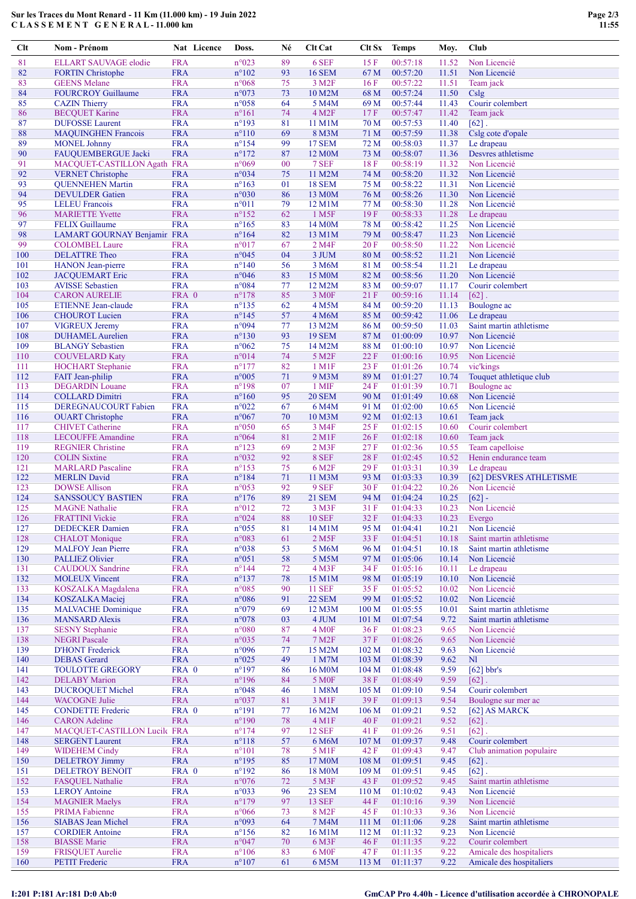## Sur les Traces du Mont Renard - 11 Km (11.000 km) - 19 Juin 2022 C L A S S E M E N T G E N E R A L - 11.000 km

| Clt        | Nom - Prénom                                        |                          | Nat Licence | Doss.                            | Né       | <b>Clt Cat</b>             | Clt Sx                   | <b>Temps</b>         | Moy.           | Club                                    |
|------------|-----------------------------------------------------|--------------------------|-------------|----------------------------------|----------|----------------------------|--------------------------|----------------------|----------------|-----------------------------------------|
| 81         | ELLART SAUVAGE elodie                               | <b>FRA</b>               |             | n°023                            | 89       | 6 SEF                      | 15F                      | 00:57:18             | 11.52          | Non Licencié                            |
| 82         | <b>FORTIN</b> Christophe                            | <b>FRA</b>               |             | $n^{\circ}102$                   | 93       | <b>16 SEM</b>              | 67 M                     | 00:57:20             | 11.51          | Non Licencié                            |
| 83         | <b>GEENS</b> Melane                                 | <b>FRA</b>               |             | $n^{\circ}068$                   | 75       | 3 M <sub>2F</sub>          | 16F                      | 00:57:22             | 11.51          | Team jack                               |
| 84         | <b>FOURCROY Guillaume</b>                           | <b>FRA</b>               |             | n°073                            | 73       | 10 M2M                     | 68 M                     | 00:57:24             | 11.50          | Cslg                                    |
| 85         | <b>CAZIN</b> Thierry                                | <b>FRA</b>               |             | $n^{\circ}058$                   | 64       | 5 M4M                      | 69 M                     | 00:57:44             | 11.43          | Courir colembert                        |
| 86         | <b>BECQUET Karine</b>                               | <b>FRA</b>               |             | $n^{\circ}161$                   | 74       | 4 M <sub>2</sub> F         | 17F                      | 00:57:47             | 11.42          | Team jack                               |
| 87         | <b>DUFOSSE</b> Laurent                              | <b>FRA</b>               |             | $n^{\circ}193$                   | 81       | 11 M1M                     | 70 <sub>M</sub>          | 00:57:53             | 11.40          | $[62]$ .                                |
| 88         | <b>MAQUINGHEN Francois</b>                          | <b>FRA</b>               |             | $n^{\circ}110$                   | 69       | 8 M3M                      | 71 M                     | 00:57:59             | 11.38          | Cslg cote d'opale                       |
| 89         | <b>MONEL Johnny</b>                                 | <b>FRA</b>               |             | $n^{\circ}154$                   | 99       | 17 SEM                     | 72 M                     | 00:58:03             | 11.37          | Le drapeau                              |
| 90         | FAUQUEMBERGUE Jacki                                 | <b>FRA</b>               |             | $n^{\circ}172$                   | 87       | 12 M <sub>0</sub> M        | 73 M                     | 00:58:07             | 11.36          | Desvres athletisme                      |
| 91<br>92   | MACQUET-CASTILLON Agath FRA                         | <b>FRA</b>               |             | n°069<br>n°034                   | 00<br>75 | 7 SEF<br>11 M2M            | 18F<br>74 M              | 00:58:19<br>00:58:20 | 11.32<br>11.32 | Non Licencié<br>Non Licencié            |
| 93         | <b>VERNET</b> Christophe<br><b>QUENNEHEN Martin</b> | <b>FRA</b>               |             | $n^{\circ}163$                   | 01       | <b>18 SEM</b>              | 75 M                     | 00:58:22             | 11.31          | Non Licencié                            |
| 94         | <b>DEVULDER</b> Gatien                              | <b>FRA</b>               |             | $n^{\circ}030$                   | 86       | 13 M <sub>0</sub> M        | 76 M                     | 00:58:26             | 11.30          | Non Licencié                            |
| 95         | <b>LELEU</b> Francois                               | <b>FRA</b>               |             | $n^{\circ}011$                   | 79       | 12 M1M                     | 77 M                     | 00:58:30             | 11.28          | Non Licencié                            |
| 96         | <b>MARIETTE Yvette</b>                              | <b>FRA</b>               |             | $n^{\circ}152$                   | 62       | 1 M5F                      | 19F                      | 00:58:33             | 11.28          | Le drapeau                              |
| 97         | <b>FELIX Guillaume</b>                              | <b>FRA</b>               |             | $n^{\circ}165$                   | 83       | 14 M <sub>0</sub> M        | 78 M                     | 00:58:42             | 11.25          | Non Licencié                            |
| 98         | LAMART GOURNAY Benjamin FRA                         |                          |             | $n^{\circ}164$                   | 82       | 13 M1M                     | 79 M                     | 00:58:47             | 11.23          | Non Licencié                            |
| 99         | <b>COLOMBEL Laure</b>                               | <b>FRA</b>               |             | $n^{\circ}017$                   | 67       | 2 M4F                      | 20F                      | 00:58:50             | 11.22          | Non Licencié                            |
| 100        | <b>DELATTRE</b> Theo                                | <b>FRA</b>               |             | $n^{\circ}045$                   | 04       | 3 JUM                      | 80 M                     | 00:58:52             | 11.21          | Non Licencié                            |
| 101        | <b>HANON</b> Jean-pierre                            | <b>FRA</b>               |             | $n^{\circ}140$                   | 56       | 3 M <sub>6</sub> M         | 81 M                     | 00:58:54             | 11.21          | Le drapeau                              |
| 102        | <b>JACQUEMART</b> Eric                              | <b>FRA</b>               |             | $n^{\circ}046$                   | 83       | 15 M0M                     | 82 M                     | 00:58:56             | 11.20          | Non Licencié                            |
| 103        | <b>AVISSE Sebastien</b>                             | <b>FRA</b>               |             | $n^{\circ}084$                   | 77       | 12 M2M                     | 83 M                     | 00:59:07             | 11.17          | Courir colembert                        |
| 104        | <b>CARON AURELIE</b>                                | FRA 0                    |             | $n^{\circ}178$                   | 85       | 3 M <sub>OF</sub>          | 21F                      | 00:59:16             | 11.14          | $[62]$ .                                |
| 105<br>106 | <b>ETIENNE Jean-claude</b>                          | <b>FRA</b><br><b>FRA</b> |             | $n^{\circ}$ 135                  | 62<br>57 | 4 M5M                      | 84 M                     | 00:59:20             | 11.13<br>11.06 | Boulogne ac<br>Le drapeau               |
| 107        | <b>CHOUROT</b> Lucien<br><b>VIGREUX Jeremy</b>      | <b>FRA</b>               |             | $n^{\circ}145$<br>$n^{\circ}094$ | 77       | 4 M6M<br>13 M2M            | 85 M<br>86 M             | 00:59:42<br>00:59:50 | 11.03          | Saint martin athletisme                 |
| 108        | <b>DUHAMEL</b> Aurelien                             | <b>FRA</b>               |             | $n^{\circ}130$                   | 93       | <b>19 SEM</b>              | 87 M                     | 01:00:09             | 10.97          | Non Licencié                            |
| 109        | <b>BLANGY</b> Sebastien                             | <b>FRA</b>               |             | $n^{\circ}062$                   | 75       | 14 M2M                     | 88 M                     | 01:00:10             | 10.97          | Non Licencié                            |
| 110        | <b>COUVELARD Katy</b>                               | <b>FRA</b>               |             | $n^{\circ}014$                   | 74       | 5 M <sub>2</sub> F         | 22 F                     | 01:00:16             | 10.95          | Non Licencié                            |
| 111        | <b>HOCHART</b> Stephanie                            | <b>FRA</b>               |             | $n^{\circ}177$                   | 82       | 1 M1F                      | 23 F                     | 01:01:26             | 10.74          | vic'kings                               |
| 112        | FAIT Jean-philip                                    | <b>FRA</b>               |             | n°005                            | 71       | 9 M3M                      | 89 M                     | 01:01:27             | 10.74          | Touquet athletique club                 |
| 113        | <b>DEGARDIN</b> Louane                              | <b>FRA</b>               |             | $n^{\circ}198$                   | 07       | 1 MIF                      | 24 F                     | 01:01:39             | 10.71          | Boulogne ac                             |
| 114        | <b>COLLARD Dimitri</b>                              | <b>FRA</b>               |             | $n^{\circ}160$                   | 95       | <b>20 SEM</b>              | 90 M                     | 01:01:49             | 10.68          | Non Licencié                            |
| 115        | DEREGNAUCOURT Fabien                                | <b>FRA</b>               |             | $n^{\circ}022$                   | 67       | 6 M4M                      | 91 M                     | 01:02:00             | 10.65          | Non Licencié                            |
| 116        | <b>OUART</b> Christophe                             | <b>FRA</b>               |             | $n^{\circ}067$                   | 70       | 10 M3M                     | 92 M                     | 01:02:13             | 10.61          | Team jack                               |
| 117        | <b>CHIVET</b> Catherine                             | <b>FRA</b>               |             | n°050                            | 65       | 3 M4F                      | 25F                      | 01:02:15             | 10.60          | Courir colembert                        |
| 118        | <b>LECOUFFE Amandine</b>                            | <b>FRA</b>               |             | $n^{\circ}064$                   | 81       | 2 M1F                      | 26F                      | 01:02:18             | 10.60          | Team jack                               |
| 119        | <b>REGNIER</b> Christine                            | <b>FRA</b>               |             | $n^{\circ}123$                   | 69       | 2 M3F                      | 27F                      | 01:02:36             | 10.55          | Team capelloise                         |
| 120        | <b>COLIN Sixtine</b>                                | <b>FRA</b>               |             | $n^{\circ}032$                   | 92       | 8 SEF                      | 28F                      | 01:02:45             | 10.52          | Henin endurance team                    |
| 121        | <b>MARLARD</b> Pascaline                            | <b>FRA</b>               |             | $n^{\circ}153$                   | 75       | 6 M2F                      | 29F                      | 01:03:31             | 10.39          | Le drapeau                              |
| 122<br>123 | <b>MERLIN David</b><br><b>DOWSE Allison</b>         | <b>FRA</b><br><b>FRA</b> |             | $n^{\circ}184$<br>$n^{\circ}053$ | 71<br>92 | 11 M3M<br>9 SEF            | 93 M<br>30F              | 01:03:33<br>01:04:22 | 10.39<br>10.26 | [62] DESVRES ATHLETISME<br>Non Licencié |
| 124        | <b>SANSSOUCY BASTIEN</b>                            | <b>FRA</b>               |             | $n^{\circ}176$                   | 89       | <b>21 SEM</b>              | 94 M                     | 01:04:24             | 10.25          | $[62] -$                                |
| 125        | <b>MAGNE</b> Nathalie                               | <b>FRA</b>               |             | n°012                            | 72       | 3 M3F                      | 31 F                     | 01:04:33             | 10.23          | Non Licencié                            |
| 126        | <b>FRATTINI</b> Vickie                              | <b>FRA</b>               |             | $n^{\circ}024$                   | 88       | <b>10 SEF</b>              | 32F                      | 01:04:33             | 10.23          | Evergo                                  |
| 127        | <b>DEDECKER</b> Damien                              | <b>FRA</b>               |             | $n^{\circ}055$                   | 81       | 14 M1M                     | 95 M                     | 01:04:41             | 10.21          | Non Licencié                            |
| 128        | <b>CHALOT</b> Monique                               | <b>FRA</b>               |             | n°083                            | 61       | 2 M5F                      | 33 F                     | 01:04:51             | 10.18          | Saint martin athletisme                 |
| 129        | <b>MALFOY Jean Pierre</b>                           | <b>FRA</b>               |             | n°038                            | 53       | 5 M6M                      | 96 M                     | 01:04:51             | 10.18          | Saint martin athletisme                 |
| 130        | <b>PALLIEZ Olivier</b>                              | <b>FRA</b>               |             | $n^{\circ}051$                   | 58       | 5 M5M                      | 97 M                     | 01:05:06             | 10.14          | Non Licencié                            |
| 131        | <b>CAUDOUX</b> Sandrine                             | <b>FRA</b>               |             | $n^{\circ}$ 144                  | 72       | 4 M3F                      | 34 F                     | 01:05:16             | 10.11          | Le drapeau                              |
| 132        | <b>MOLEUX Vincent</b>                               | <b>FRA</b>               |             | $n^{\circ}137$                   | 78       | 15 M1M                     | 98 M                     | 01:05:19             | 10.10          | Non Licencié                            |
| 133        | KOSZALKA Magdalena                                  | <b>FRA</b>               |             | n°085                            | 90       | <b>11 SEF</b>              | 35 F                     | 01:05:52             | 10.02          | Non Licencié                            |
| 134        | <b>KOSZALKA</b> Maciej                              | <b>FRA</b>               |             | n°086                            | 91       | <b>22 SEM</b>              | 99 M                     | 01:05:52             | 10.02          | Non Licencié                            |
| 135        | <b>MALVACHE Dominique</b>                           | <b>FRA</b>               |             | n°079                            | 69       | 12 M3M                     | 100 M                    | 01:05:55             | 10.01          | Saint martin athletisme                 |
| 136        | <b>MANSARD Alexis</b>                               | <b>FRA</b>               |             | n°078                            | 03       | 4 JUM                      | 101 M                    | 01:07:54             | 9.72           | Saint martin athletisme<br>Non Licencié |
| 137<br>138 | <b>SESNY</b> Stephanie<br><b>NEGRI Pascale</b>      | <b>FRA</b><br><b>FRA</b> |             | $n^{\circ}080$<br>$n^{\circ}035$ | 87<br>74 | 4 M <sub>OF</sub><br>7 M2F | 36F<br>37 F              | 01:08:23<br>01:08:26 | 9.65<br>9.65   | Non Licencié                            |
| 139        | <b>D'HONT</b> Frederick                             | <b>FRA</b>               |             | n°096                            | 77       | 15 M2M                     | 102 M                    | 01:08:32             | 9.63           | Non Licencié                            |
| 140        | <b>DEBAS</b> Gerard                                 | <b>FRA</b>               |             | $n^{\circ}025$                   | 49       | 1 M7M                      | 103 M                    | 01:08:39             | 9.62           | N <sub>1</sub>                          |
| 141        | <b>TOULOTTE GREGORY</b>                             | FRA 0                    |             | $n^{\circ}197$                   | 86       | 16 M0M                     | 104 M                    | 01:08:48             | 9.59           | $[62]$ bbr's                            |
| 142        | <b>DELABY</b> Marion                                | <b>FRA</b>               |             | $n^{\circ}196$                   | 84       | <b>5 MOF</b>               | 38F                      | 01:08:49             | 9.59           | $[62]$ .                                |
| 143        | <b>DUCROQUET Michel</b>                             | <b>FRA</b>               |             | n°048                            | 46       | 1 M8M                      | 105 <sub>M</sub>         | 01:09:10             | 9.54           | Courir colembert                        |
| 144        | <b>WACOGNE Julie</b>                                | <b>FRA</b>               |             | n°037                            | 81       | 3 M1F                      | 39F                      | 01:09:13             | 9.54           | Boulogne sur mer ac                     |
| 145        | <b>CONDETTE Frederic</b>                            | FRA 0                    |             | $n^{\circ}191$                   | 77       | 16 M2M                     | 106 <sub>M</sub>         | 01:09:21             | 9.52           | [62] AS MARCK                           |
| 146        | <b>CARON</b> Adeline                                | <b>FRA</b>               |             | $n^{\circ}190$                   | 78       | 4 M1F                      | 40 F                     | 01:09:21             | 9.52           | $[62]$ .                                |
| 147        | <b>MACQUET-CASTILLON Lucile FRA</b>                 |                          |             | $n^{\circ}174$                   | 97       | <b>12 SEF</b>              | 41 F                     | 01:09:26             | 9.51           | $[62]$ .                                |
| 148        | <b>SERGENT Laurent</b>                              | <b>FRA</b>               |             | $n^{\circ}118$                   | 57       | 6 M6M                      | 107 M                    | 01:09:37             | 9.48           | Courir colembert                        |
| 149        | <b>WIDEHEM Cindy</b>                                | <b>FRA</b>               |             | $n^{\circ}101$                   | 78       | 5 M1F                      | 42 F                     | 01:09:43             | 9.47           | Club animation populaire                |
| 150        | <b>DELETROY Jimmy</b>                               | <b>FRA</b>               |             | $n^{\circ}195$                   | 85       | 17 M0M                     | 108 <sub>M</sub>         | 01:09:51             | 9.45           | $\lceil 62 \rceil$ .                    |
| 151<br>152 | <b>DELETROY BENOIT</b>                              | FRA 0<br><b>FRA</b>      |             | $n^{\circ}192$<br>n°076          | 86       | 18 M0M<br>5 M3F            | 109 <sub>M</sub><br>43 F | 01:09:51<br>01:09:52 | 9.45           | $[62]$ .<br>Saint martin athletisme     |
| 153        | <b>FASQUEL Nathalie</b><br><b>LEROY Antoine</b>     | <b>FRA</b>               |             | n°033                            | 72<br>96 | 23 SEM                     | 110 <sub>M</sub>         | 01:10:02             | 9.45<br>9.43   | Non Licencié                            |
| 154        | <b>MAGNIER Maelys</b>                               | <b>FRA</b>               |             | $n^{\circ}179$                   | 97       | <b>13 SEF</b>              | 44 F                     | 01:10:16             | 9.39           | Non Licencié                            |
| 155        | <b>PRIMA Fabienne</b>                               | <b>FRA</b>               |             | $n^{\circ}066$                   | 73       | 8 M <sub>2</sub> F         | 45 F                     | 01:10:33             | 9.36           | Non Licencié                            |
| 156        | <b>SIABAS Jean Michel</b>                           | <b>FRA</b>               |             | n°093                            | 64       | 7 M4M                      | 111M                     | 01:11:06             | 9.28           | Saint martin athletisme                 |
| 157        | <b>CORDIER Antoine</b>                              | <b>FRA</b>               |             | $n^{\circ}156$                   | 82       | 16 M1M                     | 112M                     | 01:11:32             | 9.23           | Non Licencié                            |
| 158        | <b>BIASSE</b> Marie                                 | <b>FRA</b>               |             | $n^{\circ}047$                   | 70       | 6 M3F                      | 46 F                     | 01:11:35             | 9.22           | Courir colembert                        |
| 159        | <b>FRISQUET Aurelie</b>                             | <b>FRA</b>               |             | $n^{\circ}106$                   | 83       | 6 M <sub>OF</sub>          | 47 F                     | 01:11:35             | 9.22           | Amicale des hospitaliers                |
| 160        | <b>PETIT Frederic</b>                               | <b>FRA</b>               |             | $n^{\circ}107$                   | 61       | 6 M5M                      | 113M                     | 01:11:37             | 9.22           | Amicale des hospitaliers                |

# I:201 P:181 Ar:181 D:0 Ab:0 GmCAP Pro 4.40h - Licence d'utilisation accordée à CHRONOPALE